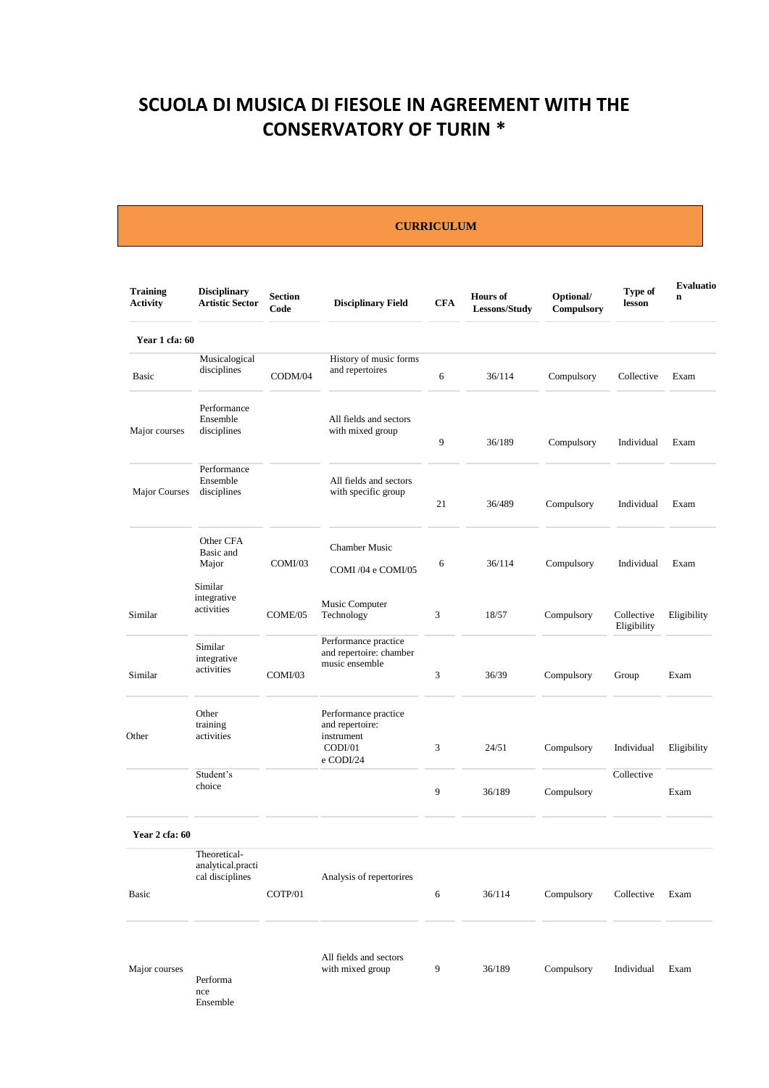# **SCUOLA DI MUSICA DI FIESOLE IN AGREEMENT WITH THE CONSERVATORY OF TURIN \***

#### **CURRICULUM**

| <b>Training</b><br><b>Activity</b> | <b>Disciplinary</b><br><b>Artistic Sector</b>        | <b>Section</b><br>Code | <b>Disciplinary Field</b>                                                     | <b>CFA</b>     | <b>Hours</b> of<br>Lessons/Study | Optional/<br>Compulsory | Type of<br>lesson         | Evaluatio<br>$\mathbf n$ |
|------------------------------------|------------------------------------------------------|------------------------|-------------------------------------------------------------------------------|----------------|----------------------------------|-------------------------|---------------------------|--------------------------|
| Year 1 cfa: 60                     |                                                      |                        |                                                                               |                |                                  |                         |                           |                          |
| Basic                              | Musicalogical<br>disciplines                         | CODM/04                | History of music forms<br>and repertoires                                     | 6              | 36/114                           | Compulsory              | Collective                | Exam                     |
| Major courses                      | Performance<br>Ensemble<br>disciplines               |                        | All fields and sectors<br>with mixed group                                    | 9              | 36/189                           | Compulsory              | Individual                | Exam                     |
| Major Courses                      | Performance<br>Ensemble<br>disciplines               |                        | All fields and sectors<br>with specific group                                 | 21             | 36/489                           | Compulsory              | Individual                | Exam                     |
|                                    | Other CFA<br>Basic and<br>Major<br>Similar           | COMI/03                | <b>Chamber Music</b><br>COMI /04 e COMI/05                                    | 6              | 36/114                           | Compulsory              | Individual                | Exam                     |
| Similar                            | integrative<br>activities                            | COME/05                | Music Computer<br>Technology                                                  | 3              | 18/57                            | Compulsory              | Collective<br>Eligibility | Eligibility              |
| Similar                            | Similar<br>integrative<br>activities                 | COMI/03                | Performance practice<br>and repertoire: chamber<br>music ensemble             | $\mathfrak{Z}$ | 36/39                            | Compulsory              | Group                     | Exam                     |
| Other                              | Other<br>training<br>activities                      |                        | Performance practice<br>and repertoire:<br>instrument<br>CODI/01<br>e CODI/24 | 3              | 24/51                            | Compulsory              | Individual                | Eligibility              |
|                                    | Student's<br>choice                                  |                        |                                                                               | 9              | 36/189                           | Compulsory              | Collective                | Exam                     |
| Year 2 cfa: 60                     |                                                      |                        |                                                                               |                |                                  |                         |                           |                          |
| Basic                              | Theoretical-<br>analytical.practi<br>cal disciplines | COTP/01                | Analysis of repertorires                                                      | 6              | 36/114                           | Compulsory              | Collective                | Exam                     |
| Major courses                      | Performa<br>nce<br>Ensemble                          |                        | All fields and sectors<br>with mixed group                                    | 9              | 36/189                           | Compulsory              | Individual                | Exam                     |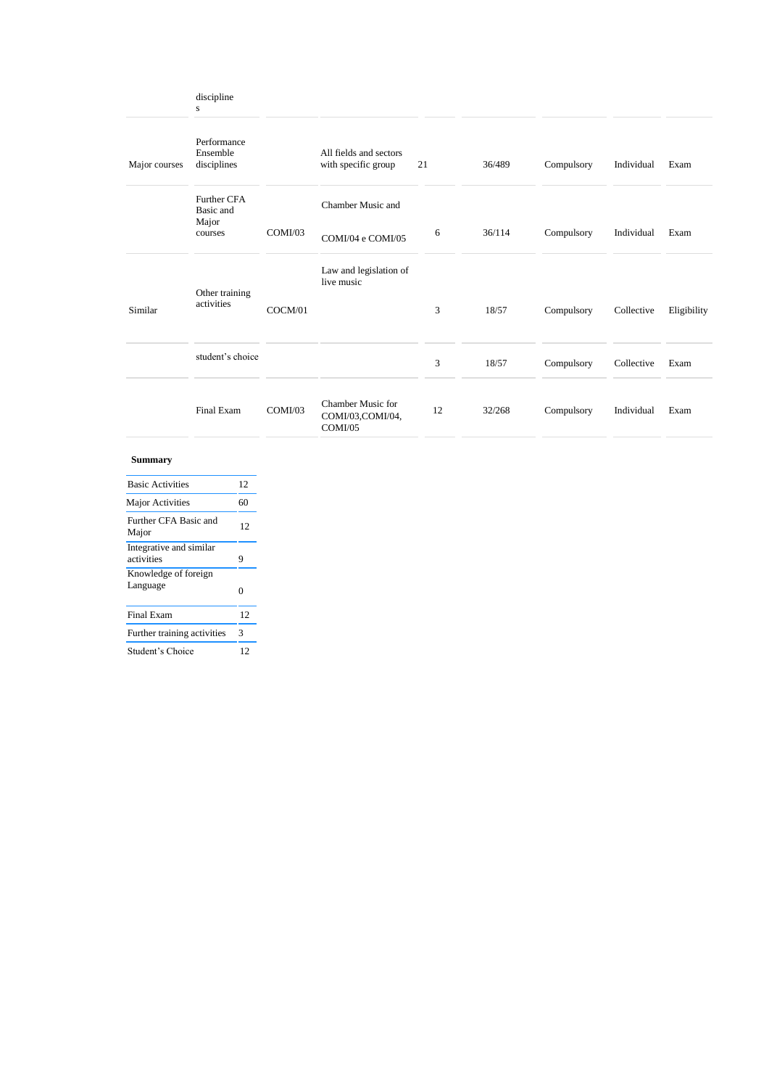|               | discipline<br>${\bf S}$                  |         |                                                  |    |    |        |            |            |             |
|---------------|------------------------------------------|---------|--------------------------------------------------|----|----|--------|------------|------------|-------------|
| Major courses | Performance<br>Ensemble<br>disciplines   |         | All fields and sectors<br>with specific group    | 21 |    | 36/489 | Compulsory | Individual | Exam        |
|               | <b>Further CFA</b><br>Basic and<br>Major | COMI/03 | Chamber Music and                                |    |    | 36/114 |            | Individual | Exam        |
|               | courses                                  |         | COMI/04 e COMI/05                                |    | 6  |        | Compulsory |            |             |
|               | Other training                           |         | Law and legislation of<br>live music             |    |    |        |            |            |             |
| Similar       | activities                               | COCM/01 |                                                  |    | 3  | 18/57  | Compulsory | Collective | Eligibility |
|               | student's choice                         |         |                                                  |    | 3  | 18/57  | Compulsory | Collective | Exam        |
|               | Final Exam                               | COMI/03 | Chamber Music for<br>COMI/03,COMI/04,<br>COMI/05 |    | 12 | 32/268 | Compulsory | Individual | Exam        |

#### **Summary**

| <b>Basic Activities</b>               |    |
|---------------------------------------|----|
| <b>Major Activities</b>               | 60 |
| Further CFA Basic and<br>Major        | 12 |
| Integrative and similar<br>activities | 9  |
| Knowledge of foreign<br>Language      | 0  |
| <b>Final Exam</b>                     | 12 |
| Further training activities           | 3  |
| Student's Choice                      | 12 |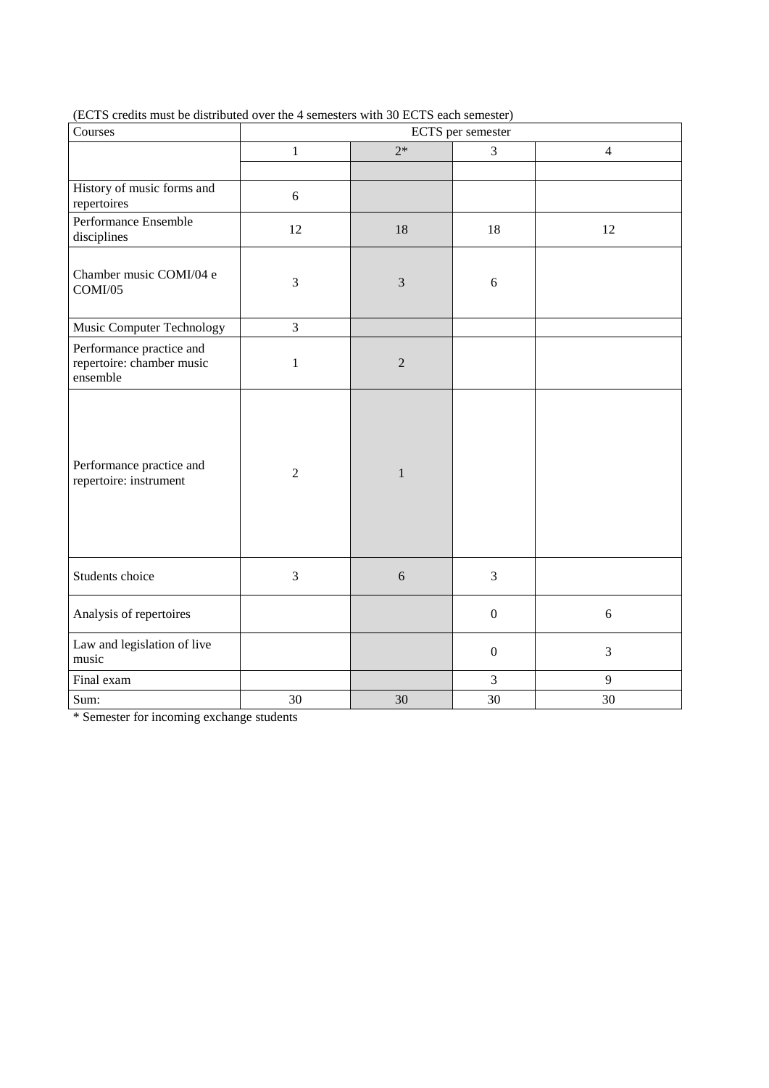| Courses                                                           | ECTS per semester |                |                  |                |  |  |
|-------------------------------------------------------------------|-------------------|----------------|------------------|----------------|--|--|
|                                                                   | $\,1$             | $2*$           | 3                | $\overline{4}$ |  |  |
|                                                                   |                   |                |                  |                |  |  |
| History of music forms and<br>repertoires                         | 6                 |                |                  |                |  |  |
| Performance Ensemble<br>disciplines                               | 12                | 18             | 18               | 12             |  |  |
| Chamber music COMI/04 e<br>COMI/05                                | 3                 | 3              | 6                |                |  |  |
| Music Computer Technology                                         | 3                 |                |                  |                |  |  |
| Performance practice and<br>repertoire: chamber music<br>ensemble | $\mathbf 1$       | $\overline{2}$ |                  |                |  |  |
| Performance practice and<br>repertoire: instrument                | $\overline{2}$    | $\mathbf{1}$   |                  |                |  |  |
| Students choice                                                   | 3                 | 6              | 3                |                |  |  |
| Analysis of repertoires                                           |                   |                | $\boldsymbol{0}$ | 6              |  |  |
| Law and legislation of live<br>music                              |                   |                | $\boldsymbol{0}$ | 3              |  |  |
| Final exam                                                        |                   |                | 3                | 9              |  |  |
| Sum:                                                              | 30                | 30             | 30               | 30             |  |  |

(ECTS credits must be distributed over the 4 semesters with 30 ECTS each semester)

\* Semester for incoming exchange students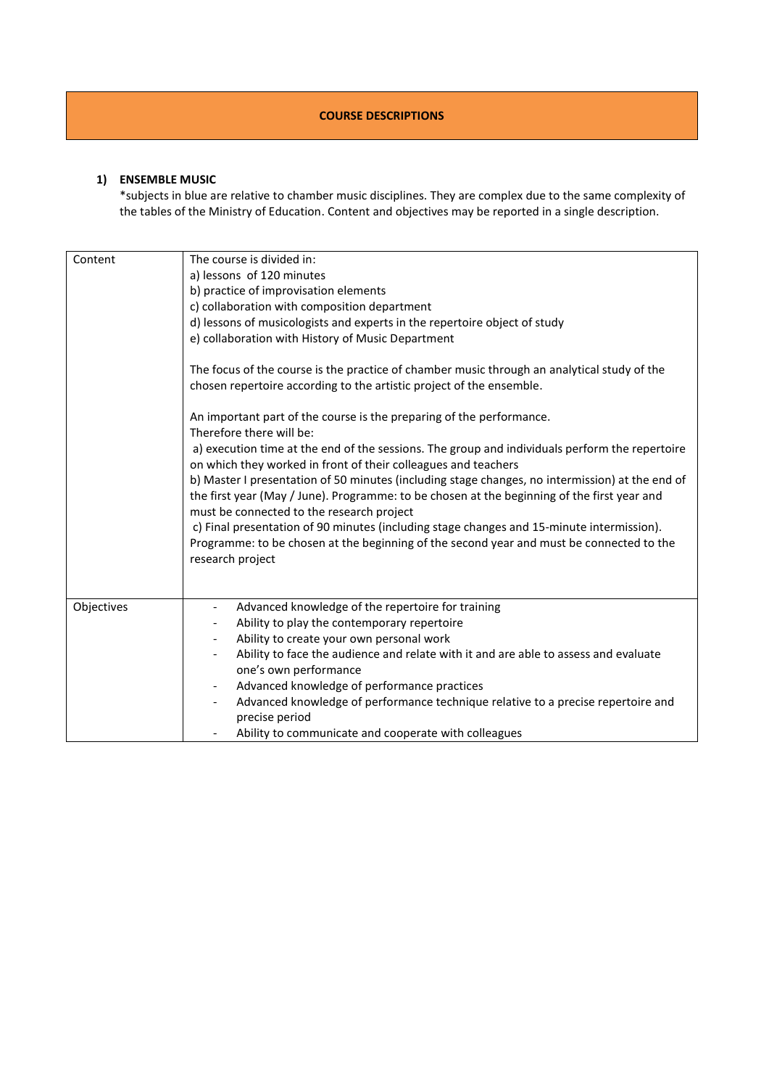#### **COURSE DESCRIPTIONS**

#### **1) ENSEMBLE MUSIC**

\*subjects in blue are relative to chamber music disciplines. They are complex due to the same complexity of the tables of the Ministry of Education. Content and objectives may be reported in a single description.

| Content    | The course is divided in:<br>a) lessons of 120 minutes<br>b) practice of improvisation elements<br>c) collaboration with composition department<br>d) lessons of musicologists and experts in the repertoire object of study                |
|------------|---------------------------------------------------------------------------------------------------------------------------------------------------------------------------------------------------------------------------------------------|
|            | e) collaboration with History of Music Department<br>The focus of the course is the practice of chamber music through an analytical study of the<br>chosen repertoire according to the artistic project of the ensemble.                    |
|            | An important part of the course is the preparing of the performance.                                                                                                                                                                        |
|            | Therefore there will be:<br>a) execution time at the end of the sessions. The group and individuals perform the repertoire<br>on which they worked in front of their colleagues and teachers                                                |
|            | b) Master I presentation of 50 minutes (including stage changes, no intermission) at the end of<br>the first year (May / June). Programme: to be chosen at the beginning of the first year and<br>must be connected to the research project |
|            | c) Final presentation of 90 minutes (including stage changes and 15-minute intermission).<br>Programme: to be chosen at the beginning of the second year and must be connected to the<br>research project                                   |
|            |                                                                                                                                                                                                                                             |
| Objectives | Advanced knowledge of the repertoire for training                                                                                                                                                                                           |
|            | Ability to play the contemporary repertoire                                                                                                                                                                                                 |
|            | Ability to create your own personal work                                                                                                                                                                                                    |
|            | Ability to face the audience and relate with it and are able to assess and evaluate                                                                                                                                                         |
|            | one's own performance                                                                                                                                                                                                                       |
|            | Advanced knowledge of performance practices<br>$\overline{\phantom{a}}$                                                                                                                                                                     |
|            | Advanced knowledge of performance technique relative to a precise repertoire and<br>precise period                                                                                                                                          |
|            | Ability to communicate and cooperate with colleagues                                                                                                                                                                                        |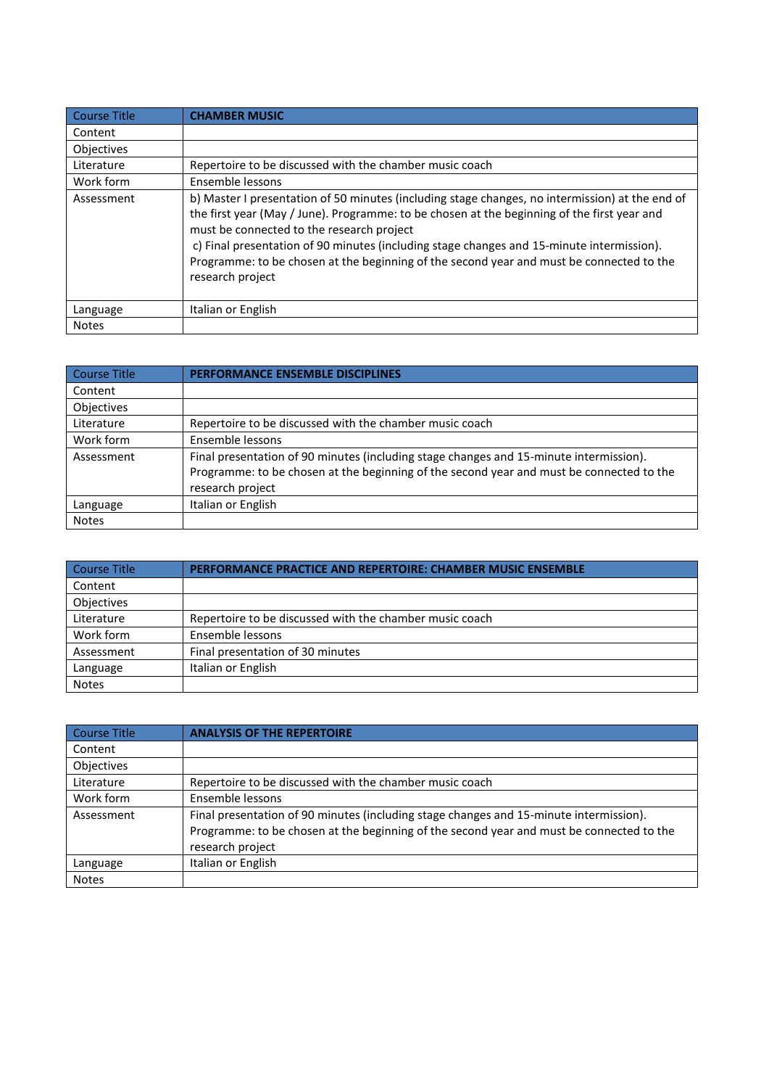| <b>Course Title</b> | <b>CHAMBER MUSIC</b>                                                                                                                                                                                                                                                                                                                                                                                                                                     |
|---------------------|----------------------------------------------------------------------------------------------------------------------------------------------------------------------------------------------------------------------------------------------------------------------------------------------------------------------------------------------------------------------------------------------------------------------------------------------------------|
| Content             |                                                                                                                                                                                                                                                                                                                                                                                                                                                          |
| <b>Objectives</b>   |                                                                                                                                                                                                                                                                                                                                                                                                                                                          |
| Literature          | Repertoire to be discussed with the chamber music coach                                                                                                                                                                                                                                                                                                                                                                                                  |
| Work form           | Ensemble lessons                                                                                                                                                                                                                                                                                                                                                                                                                                         |
| Assessment          | b) Master I presentation of 50 minutes (including stage changes, no intermission) at the end of<br>the first year (May / June). Programme: to be chosen at the beginning of the first year and<br>must be connected to the research project<br>c) Final presentation of 90 minutes (including stage changes and 15-minute intermission).<br>Programme: to be chosen at the beginning of the second year and must be connected to the<br>research project |
| Language            | Italian or English                                                                                                                                                                                                                                                                                                                                                                                                                                       |
| <b>Notes</b>        |                                                                                                                                                                                                                                                                                                                                                                                                                                                          |

| Course Title | <b>PERFORMANCE ENSEMBLE DISCIPLINES</b>                                                  |
|--------------|------------------------------------------------------------------------------------------|
| Content      |                                                                                          |
| Objectives   |                                                                                          |
| Literature   | Repertoire to be discussed with the chamber music coach                                  |
| Work form    | Ensemble lessons                                                                         |
| Assessment   | Final presentation of 90 minutes (including stage changes and 15-minute intermission).   |
|              | Programme: to be chosen at the beginning of the second year and must be connected to the |
|              | research project                                                                         |
| Language     | Italian or English                                                                       |
| <b>Notes</b> |                                                                                          |

| Course Title | <b>PERFORMANCE PRACTICE AND REPERTOIRE: CHAMBER MUSIC ENSEMBLE</b> |
|--------------|--------------------------------------------------------------------|
| Content      |                                                                    |
| Objectives   |                                                                    |
| Literature   | Repertoire to be discussed with the chamber music coach            |
| Work form    | Ensemble lessons                                                   |
| Assessment   | Final presentation of 30 minutes                                   |
| Language     | Italian or English                                                 |
| <b>Notes</b> |                                                                    |

| Course Title | <b>ANALYSIS OF THE REPERTOIRE</b>                                                                                                                                                                      |
|--------------|--------------------------------------------------------------------------------------------------------------------------------------------------------------------------------------------------------|
| Content      |                                                                                                                                                                                                        |
| Objectives   |                                                                                                                                                                                                        |
| Literature   | Repertoire to be discussed with the chamber music coach                                                                                                                                                |
| Work form    | Ensemble lessons                                                                                                                                                                                       |
| Assessment   | Final presentation of 90 minutes (including stage changes and 15-minute intermission).<br>Programme: to be chosen at the beginning of the second year and must be connected to the<br>research project |
| Language     | Italian or English                                                                                                                                                                                     |
| <b>Notes</b> |                                                                                                                                                                                                        |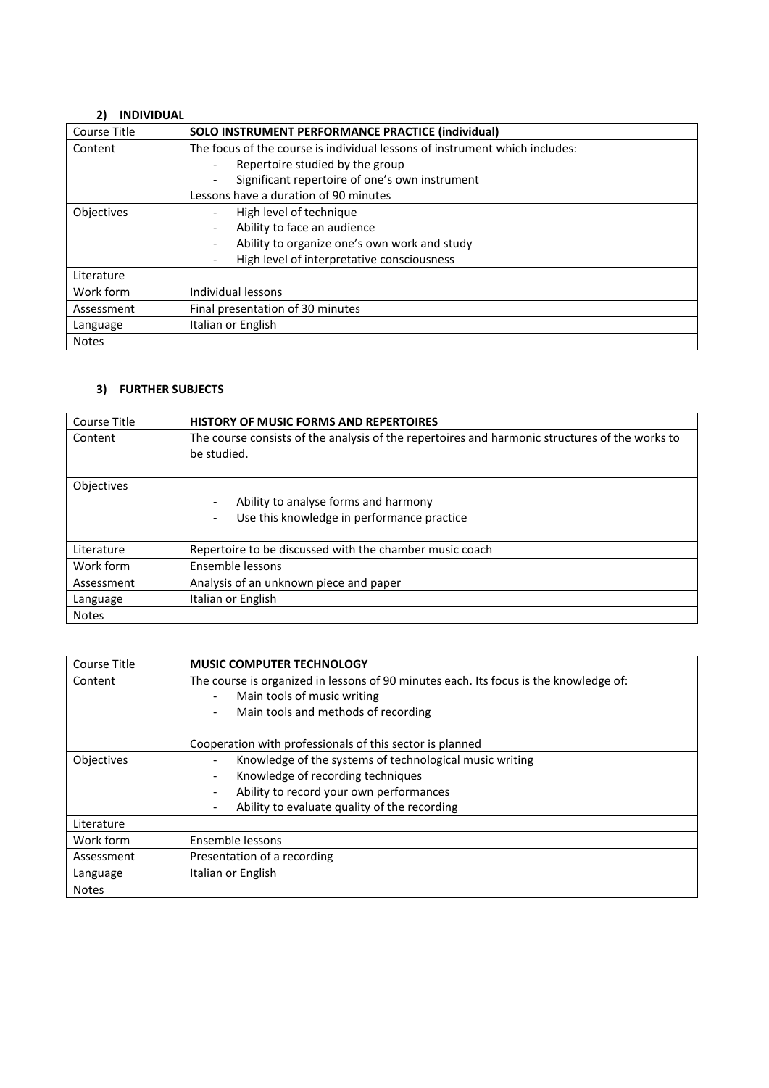### **2) INDIVIDUAL**

| Course Title      | SOLO INSTRUMENT PERFORMANCE PRACTICE (individual)                           |
|-------------------|-----------------------------------------------------------------------------|
| Content           | The focus of the course is individual lessons of instrument which includes: |
|                   | Repertoire studied by the group                                             |
|                   | Significant repertoire of one's own instrument<br>$\overline{\phantom{a}}$  |
|                   | Lessons have a duration of 90 minutes                                       |
| <b>Objectives</b> | High level of technique                                                     |
|                   | Ability to face an audience<br>$\overline{\phantom{a}}$                     |
|                   | Ability to organize one's own work and study<br>$\overline{\phantom{a}}$    |
|                   | High level of interpretative consciousness                                  |
| Literature        |                                                                             |
| Work form         | Individual lessons                                                          |
| Assessment        | Final presentation of 30 minutes                                            |
| Language          | Italian or English                                                          |
| <b>Notes</b>      |                                                                             |

# **3) FURTHER SUBJECTS**

| Course Title | <b>HISTORY OF MUSIC FORMS AND REPERTOIRES</b>                                                                 |
|--------------|---------------------------------------------------------------------------------------------------------------|
| Content      | The course consists of the analysis of the repertoires and harmonic structures of the works to<br>be studied. |
| Objectives   | Ability to analyse forms and harmony<br>Use this knowledge in performance practice                            |
| Literature   | Repertoire to be discussed with the chamber music coach                                                       |
| Work form    | Ensemble lessons                                                                                              |
| Assessment   | Analysis of an unknown piece and paper                                                                        |
| Language     | Italian or English                                                                                            |
| <b>Notes</b> |                                                                                                               |

| Course Title | <b>MUSIC COMPUTER TECHNOLOGY</b>                                                      |
|--------------|---------------------------------------------------------------------------------------|
| Content      | The course is organized in lessons of 90 minutes each. Its focus is the knowledge of: |
|              | Main tools of music writing                                                           |
|              | Main tools and methods of recording                                                   |
|              | Cooperation with professionals of this sector is planned                              |
| Objectives   | Knowledge of the systems of technological music writing                               |
|              | Knowledge of recording techniques                                                     |
|              | Ability to record your own performances                                               |
|              | Ability to evaluate quality of the recording                                          |
| Literature   |                                                                                       |
| Work form    | Ensemble lessons                                                                      |
| Assessment   | Presentation of a recording                                                           |
| Language     | Italian or English                                                                    |
| <b>Notes</b> |                                                                                       |